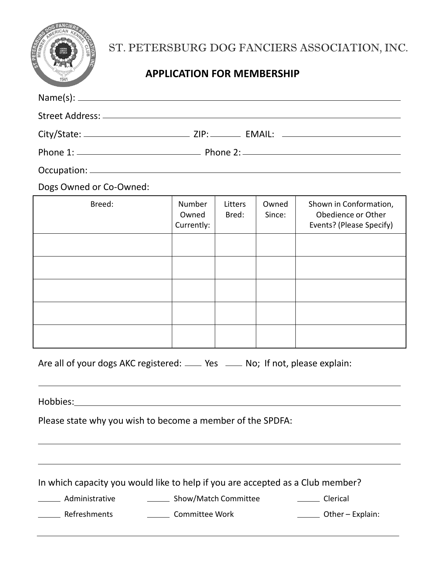| OG FANCIERS 1989<br>REA<br><b>BUT</b><br>á<br>MEM<br><b>ATTACHE</b><br>OPTIMUS |
|--------------------------------------------------------------------------------|
| 1941                                                                           |

# ST. PETERSBURG DOG FANCIERS ASSOCIATION, INC.

## **APPLICATION FOR MEMBERSHIP**

| Dogs Owned or Co-Owned:                                                        |                               |                  |                 |                                                                          |
|--------------------------------------------------------------------------------|-------------------------------|------------------|-----------------|--------------------------------------------------------------------------|
| Breed:                                                                         | Number<br>Owned<br>Currently: | Litters<br>Bred: | Owned<br>Since: | Shown in Conformation,<br>Obedience or Other<br>Events? (Please Specify) |
|                                                                                |                               |                  |                 |                                                                          |
|                                                                                |                               |                  |                 |                                                                          |
|                                                                                |                               |                  |                 |                                                                          |
|                                                                                |                               |                  |                 |                                                                          |
|                                                                                |                               |                  |                 |                                                                          |
| Are all of your dogs AKC registered: ____ Yes ____ No; If not, please explain: |                               |                  |                 |                                                                          |
|                                                                                |                               |                  |                 |                                                                          |
| Please state why you wish to become a member of the SPDFA:                     |                               |                  |                 |                                                                          |

In which capacity you would like to help if you are accepted as a Club member?

Administrative Channel Show/Match Committee Commercial

Lacker Refreshments **Committee Work Committee Work Committee Work Committee Work Committee Work Committee Work Committee Work Committee Work Committee Work Committee Work Committee Work Committee Work**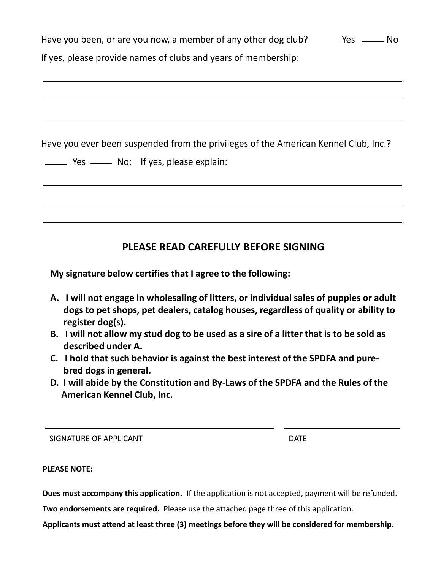| Have you been, or are you now, a member of any other dog club? _____ Yes _____ No                                             |  |  |  |  |
|-------------------------------------------------------------------------------------------------------------------------------|--|--|--|--|
| If yes, please provide names of clubs and years of membership:                                                                |  |  |  |  |
|                                                                                                                               |  |  |  |  |
|                                                                                                                               |  |  |  |  |
| Have you ever been suspended from the privileges of the American Kennel Club, Inc.?<br>Yes ______ No; If yes, please explain: |  |  |  |  |
|                                                                                                                               |  |  |  |  |
| PLEASE READ CAREFULLY BEFORE SIGNING                                                                                          |  |  |  |  |

**My signature below certifies that I agree to the following:**

- **A. I will not engage in wholesaling of litters, or individual sales of puppies or adult dogs to pet shops, pet dealers, catalog houses, regardless of quality or ability to register dog(s).**
- **B. I will not allow my stud dog to be used as a sire of a litter that is to be sold as described under A.**
- **C. I hold that such behavior is against the best interest of the SPDFA and pure bred dogs in general.**
- **D. I will abide by the Constitution and By-Laws of the SPDFA and the Rules of the American Kennel Club, Inc.**

SIGNATURE OF APPLICANT **Example 20 and 20 and 20 and 20 and 20 and 20 and 20 and 20 and 20 and 20 and 20 and 20** 

**PLEASE NOTE:**

**Dues must accompany this application.** If the application is not accepted, payment will be refunded.

**Two endorsements are required.** Please use the attached page three of this application.

**Applicants must attend at least three (3) meetings before they will be considered for membership.**